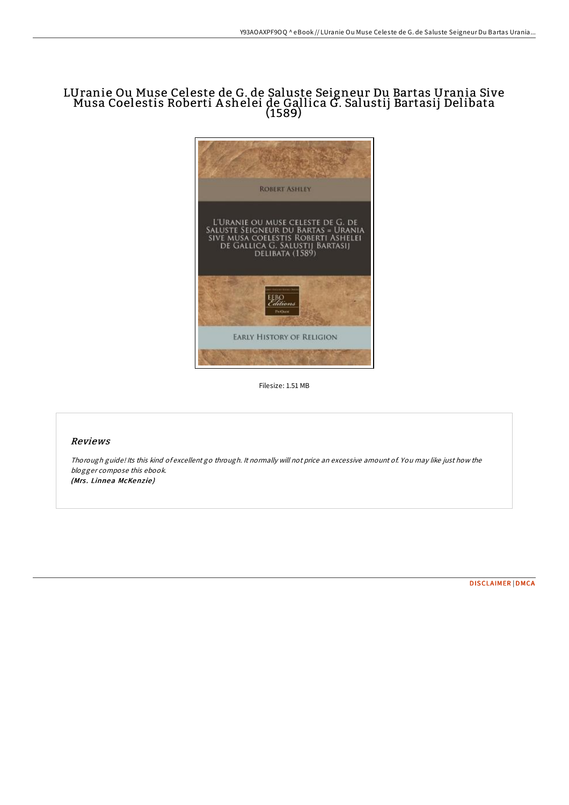# LUranie Ou Muse Celeste de G. de Saluste Seigneur Du Bartas Urania Sive Musa Coelestis Roberti A shelei de Gallica G. Salustij Bartasij Delibata (1589)



Filesize: 1.51 MB

## Reviews

Thorough guide! Its this kind of excellent go through. It normally will not price an excessive amount of. You may like just how the blogger compose this ebook. (Mrs. Linnea McKenzie)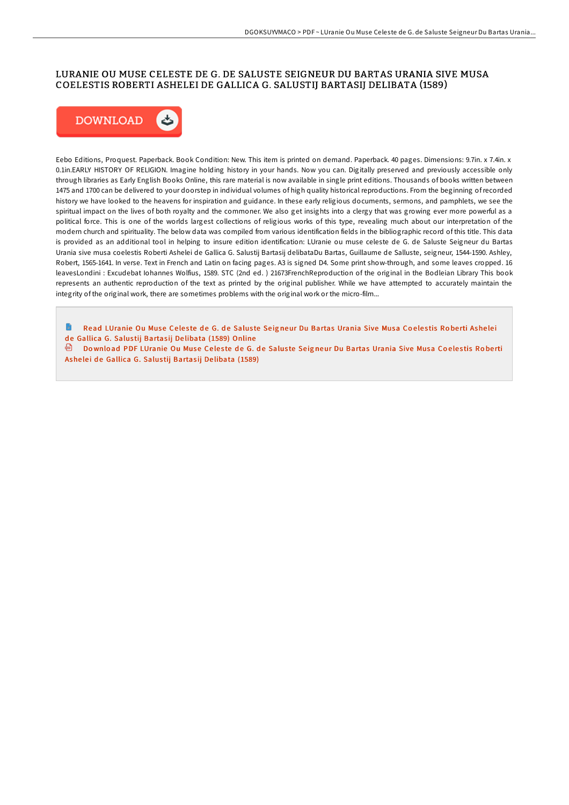## LURANIE OU MUSE CELESTE DE G. DE SALUSTE SEIGNEUR DU BARTAS URANIA SIVE MUSA COELESTIS ROBERTI ASHELEI DE GALLICA G. SALUSTIJ BARTASIJ DELIBATA (1589)



Eebo Editions, Proquest. Paperback. Book Condition: New. This item is printed on demand. Paperback. 40 pages. Dimensions: 9.7in. x 7.4in. x 0.1in.EARLY HISTORY OF RELIGION. Imagine holding history in your hands. Now you can. Digitally preserved and previously accessible only through libraries as Early English Books Online, this rare material is now available in single print editions. Thousands of books written between 1475 and 1700 can be delivered to your doorstep in individual volumes of high quality historical reproductions. From the beginning ofrecorded history we have looked to the heavens for inspiration and guidance. In these early religious documents, sermons, and pamphlets, we see the spiritual impact on the lives of both royalty and the commoner. We also get insights into a clergy that was growing ever more powerful as a political force. This is one of the worlds largest collections of religious works of this type, revealing much about our interpretation of the modern church and spirituality. The below data was compiled from various identification fields in the bibliographic record of this title. This data is provided as an additional tool in helping to insure edition identification: LUranie ou muse celeste de G. de Saluste Seigneur du Bartas Urania sive musa coelestis Roberti Ashelei de Gallica G. Salustij Bartasij delibataDu Bartas, Guillaume de Salluste, seigneur, 1544-1590. Ashley, Robert, 1565-1641. In verse. Text in French and Latin on facing pages. A3 is signed D4. Some print show-through, and some leaves cropped. 16 leavesLondini : Excudebat Iohannes Wolfius, 1589. STC (2nd ed. ) 21673FrenchReproduction of the original in the Bodleian Library This book represents an authentic reproduction of the text as printed by the original publisher. While we have attempted to accurately maintain the integrity of the original work, there are sometimes problems with the original work or the micro-film...

Read [LUranie](http://almighty24.tech/luranie-ou-muse-celeste-de-g-de-saluste-seigneur.html) Ou Muse Celeste de G. de Saluste Seigneur Du Bartas Urania Sive Musa Coelestis Roberti Ashelei de Gallica G. Salustij Bartasij Delibata (1589) Online

甸 Download PDF [LUranie](http://almighty24.tech/luranie-ou-muse-celeste-de-g-de-saluste-seigneur.html) Ou Muse Celeste de G. de Saluste Seigneur Du Bartas Urania Sive Musa Coelestis Roberti Ashelei de Gallica G. Salustij Bartasij Delibata (1589)